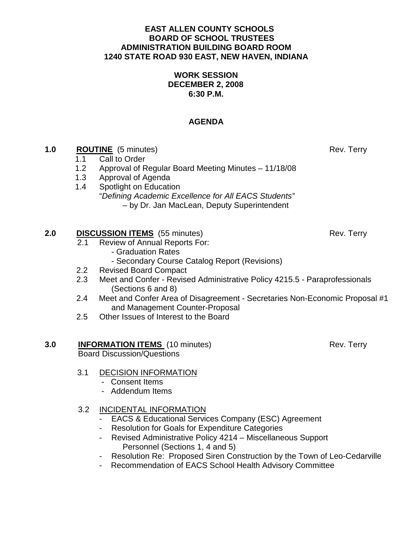#### **EAST ALLEN COUNTY SCHOOLS BOARD OF SCHOOL TRUSTEES ADMINISTRATION BUILDING BOARD ROOM 1240 STATE ROAD 930 EAST, NEW HAVEN, INDIANA**

### **WORK SESSION DECEMBER 2, 2008 6:30 P.M.**

# **AGENDA**

- **1.0 ROUTINE** (5 minutes) Rev. Terry
	- 1.1Call to Order
	- 1.2 Approval of Regular Board Meeting Minutes 11/18/08
	- 1.3 Approval of Agenda
	- 1.4 Spotlight on Education "Defining Academic Excellence for All EACS Students" – by Dr. Jan MacLean, Deputy Superintendent

## **2.0 DISCUSSION ITEMS** (55 minutes) Rev. Terry

- 2.1 Review of Annual Reports For:
	- Graduation Rates
	- Secondary Course Catalog Report (Revisions)
- 2.2 Revised Board Compact
- 2.3 Meet and Confer Revised Administrative Policy 4215.5 Paraprofessionals (Sections 6 and 8)
- 2.4 Meet and Confer Area of Disagreement Secretaries Non-Economic Proposal #1 and Management Counter-Proposal
- 2.5 Other Issues of Interest to the Board

#### **3.0 INFORMATION ITEMS** (10 minutes) Rev. Terry Board Discussion/Questions

### 3.1 DECISION INFORMATION

- Consent Items
- Addendum Items

## 3.2 INCIDENTAL INFORMATION

- EACS & Educational Services Company (ESC) Agreement
- Resolution for Goals for Expenditure Categories
- Revised Administrative Policy 4214 Miscellaneous Support Personnel (Sections 1, 4 and 5)
- Resolution Re: Proposed Siren Construction by the Town of Leo-Cedarville
- Recommendation of EACS School Health Advisory Committee